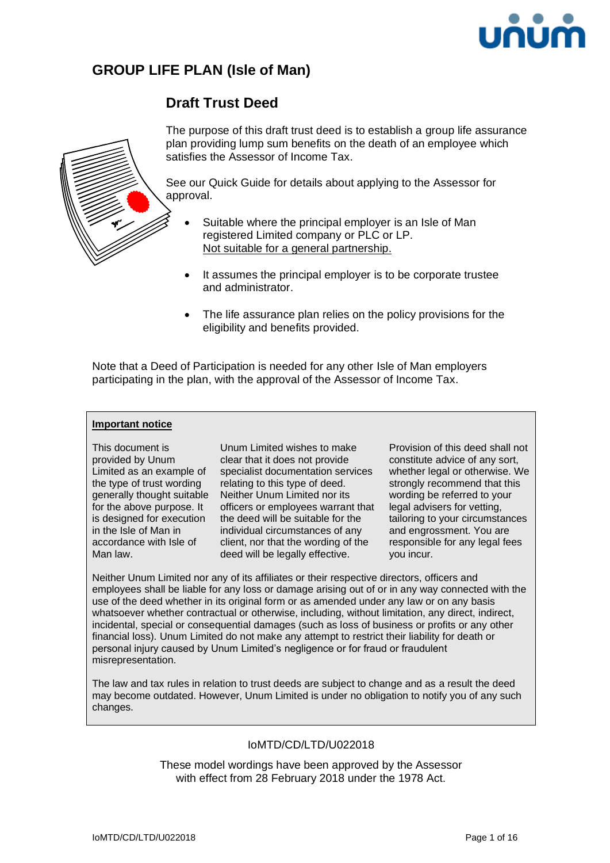

# **GROUP LIFE PLAN (Isle of Man)**

# **Draft Trust Deed**



The purpose of this draft trust deed is to establish a group life assurance plan providing lump sum benefits on the death of an employee which satisfies the Assessor of Income Tax.

See our Quick Guide for details about applying to the Assessor for approval.

- Suitable where the principal employer is an Isle of Man registered Limited company or PLC or LP. Not suitable for a general partnership.
- It assumes the principal employer is to be corporate trustee and administrator.
- The life assurance plan relies on the policy provisions for the eligibility and benefits provided.

Note that a Deed of Participation is needed for any other Isle of Man employers participating in the plan, with the approval of the Assessor of Income Tax.

#### **Important notice**

This document is provided by Unum Limited as an example of the type of trust wording generally thought suitable for the above purpose. It is designed for execution in the Isle of Man in accordance with Isle of Man law.

Unum Limited wishes to make clear that it does not provide specialist documentation services relating to this type of deed. Neither Unum Limited nor its officers or employees warrant that the deed will be suitable for the individual circumstances of any client, nor that the wording of the deed will be legally effective.

Provision of this deed shall not constitute advice of any sort, whether legal or otherwise. We strongly recommend that this wording be referred to your legal advisers for vetting, tailoring to your circumstances and engrossment. You are responsible for any legal fees you incur.

Neither Unum Limited nor any of its affiliates or their respective directors, officers and employees shall be liable for any loss or damage arising out of or in any way connected with the use of the deed whether in its original form or as amended under any law or on any basis whatsoever whether contractual or otherwise, including, without limitation, any direct, indirect, incidental, special or consequential damages (such as loss of business or profits or any other financial loss). Unum Limited do not make any attempt to restrict their liability for death or personal injury caused by Unum Limited's negligence or for fraud or fraudulent misrepresentation.

The law and tax rules in relation to trust deeds are subject to change and as a result the deed may become outdated. However, Unum Limited is under no obligation to notify you of any such changes.

# IoMTD/CD/LTD/U022018

These model wordings have been approved by the Assessor with effect from 28 February 2018 under the 1978 Act.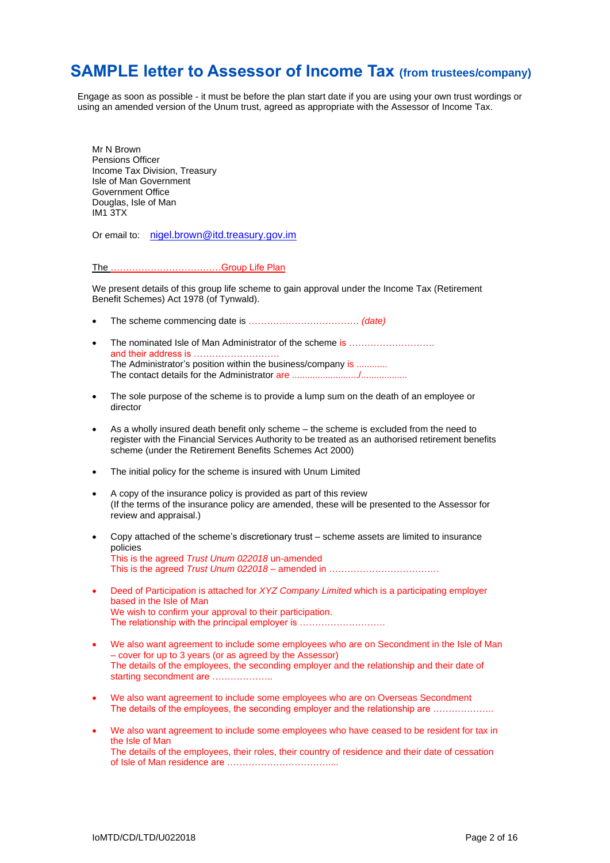# **SAMPLE letter to Assessor of Income Tax (from trustees/company)**

Engage as soon as possible - it must be before the plan start date if you are using your own trust wordings or using an amended version of the Unum trust, agreed as appropriate with the Assessor of Income Tax.

Mr N Brown Pensions Officer Income Tax Division, Treasury Isle of Man Government Government Office Douglas, Isle of Man IM1 3TX

Or email to: [nigel.brown@itd.treasury.gov.im](mailto:nigel.brown@itd.treasury.gov.im)

The ………………………………Group Life Plan

We present details of this group life scheme to gain approval under the Income Tax (Retirement Benefit Schemes) Act 1978 (of Tynwald).

- The scheme commencing date is ……………………………… *(date)*
- The nominated Isle of Man Administrator of the scheme is ........................ and their address is ………………………. The Administrator's position within the business/company is ............ The contact details for the Administrator are ........................../..................
- The sole purpose of the scheme is to provide a lump sum on the death of an employee or director
- As a wholly insured death benefit only scheme the scheme is excluded from the need to register with the Financial Services Authority to be treated as an authorised retirement benefits scheme (under the Retirement Benefits Schemes Act 2000)
- The initial policy for the scheme is insured with Unum Limited
- A copy of the insurance policy is provided as part of this review (If the terms of the insurance policy are amended, these will be presented to the Assessor for review and appraisal.)
- Copy attached of the scheme's discretionary trust scheme assets are limited to insurance policies This is the agreed *Trust Unum 022018* un-amended This is the agreed *Trust Unum 022018* – amended in ………………………………
- Deed of Participation is attached for *XYZ Company Limited* which is a participating employer based in the Isle of Man We wish to confirm your approval to their participation. The relationship with the principal employer is ………………………
- We also want agreement to include some employees who are on Secondment in the Isle of Man – cover for up to 3 years (or as agreed by the Assessor) The details of the employees, the seconding employer and the relationship and their date of starting secondment are .....................
- We also want agreement to include some employees who are on Overseas Secondment The details of the employees, the seconding employer and the relationship are ………………
- We also want agreement to include some employees who have ceased to be resident for tax in the Isle of Man The details of the employees, their roles, their country of residence and their date of cessation of Isle of Man residence are ……………………………....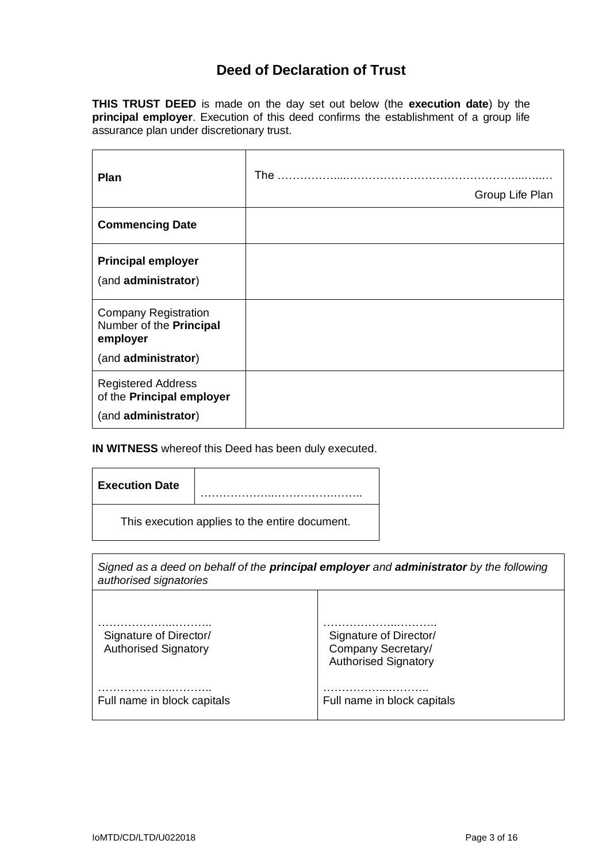# **Deed of Declaration of Trust**

**THIS TRUST DEED** is made on the day set out below (the **execution date**) by the **principal employer**. Execution of this deed confirms the establishment of a group life assurance plan under discretionary trust.

| Plan                                                                                      | The $\ldots$<br>Group Life Plan |
|-------------------------------------------------------------------------------------------|---------------------------------|
| <b>Commencing Date</b>                                                                    |                                 |
| <b>Principal employer</b><br>(and administrator)                                          |                                 |
| <b>Company Registration</b><br>Number of the Principal<br>employer<br>(and administrator) |                                 |
| <b>Registered Address</b><br>of the Principal employer<br>(and administrator)             |                                 |

## **IN WITNESS** whereof this Deed has been duly executed.

| <b>Execution Date</b>                          |  |  |
|------------------------------------------------|--|--|
| This execution applies to the entire document. |  |  |

| Signed as a deed on behalf of the <b>principal employer</b> and <b>administrator</b> by the following<br>authorised signatories |                                                                             |  |
|---------------------------------------------------------------------------------------------------------------------------------|-----------------------------------------------------------------------------|--|
| Signature of Director/<br><b>Authorised Signatory</b>                                                                           | Signature of Director/<br>Company Secretary/<br><b>Authorised Signatory</b> |  |
| Full name in block capitals                                                                                                     | Full name in block capitals                                                 |  |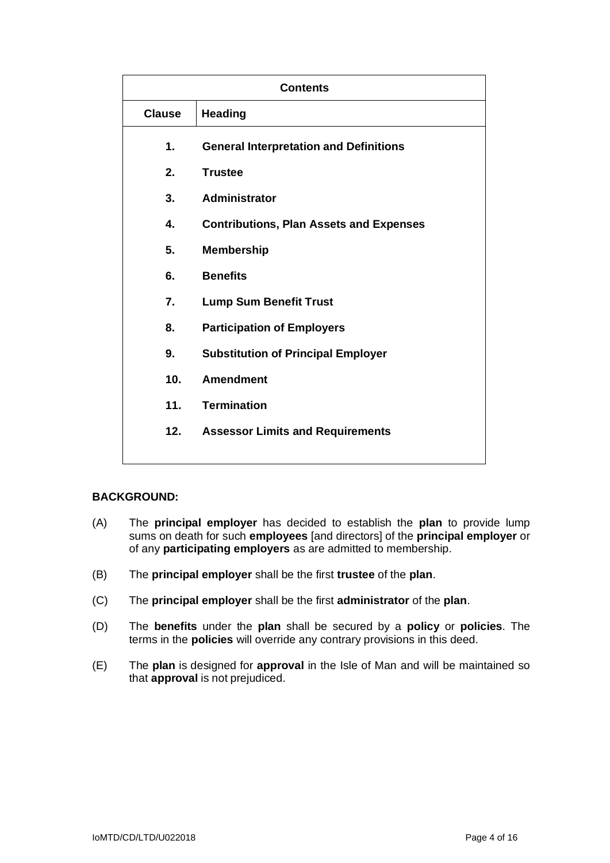| <b>Contents</b> |                                                |  |
|-----------------|------------------------------------------------|--|
| <b>Clause</b>   | <b>Heading</b>                                 |  |
| 1.              | <b>General Interpretation and Definitions</b>  |  |
| 2.              | <b>Trustee</b>                                 |  |
| 3.              | <b>Administrator</b>                           |  |
| 4.              | <b>Contributions, Plan Assets and Expenses</b> |  |
| 5.              | <b>Membership</b>                              |  |
| 6.              | <b>Benefits</b>                                |  |
| 7.              | <b>Lump Sum Benefit Trust</b>                  |  |
| 8.              | <b>Participation of Employers</b>              |  |
| 9.              | <b>Substitution of Principal Employer</b>      |  |
| 10.             | <b>Amendment</b>                               |  |
| 11.             | <b>Termination</b>                             |  |
| 12.             | <b>Assessor Limits and Requirements</b>        |  |
|                 |                                                |  |

# **BACKGROUND:**

- (A) The **principal employer** has decided to establish the **plan** to provide lump sums on death for such **employees** [and directors] of the **principal employer** or of any **participating employers** as are admitted to membership.
- (B) The **principal employer** shall be the first **trustee** of the **plan**.
- (C) The **principal employer** shall be the first **administrator** of the **plan**.
- (D) The **benefits** under the **plan** shall be secured by a **policy** or **policies**. The terms in the **policies** will override any contrary provisions in this deed.
- (E) The **plan** is designed for **approval** in the Isle of Man and will be maintained so that **approval** is not prejudiced.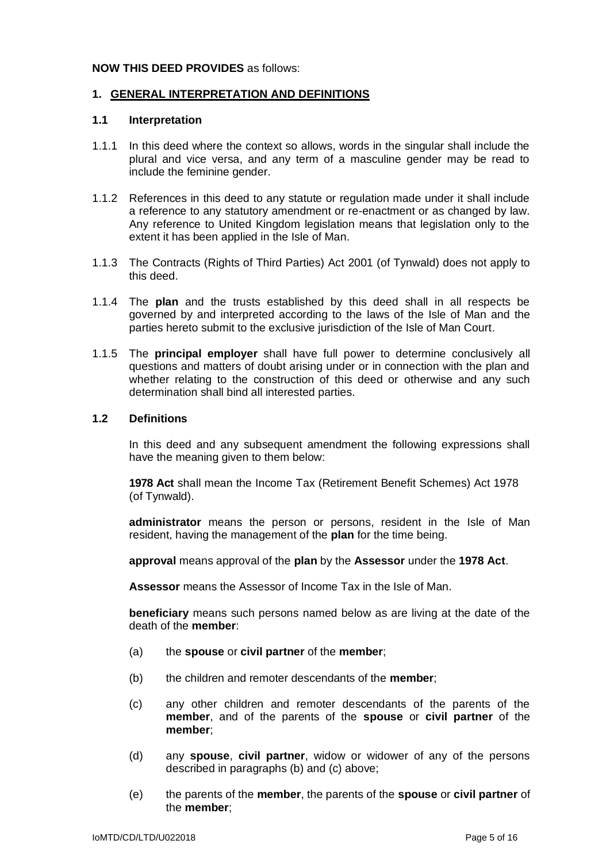### **NOW THIS DEED PROVIDES** as follows:

### **1. GENERAL INTERPRETATION AND DEFINITIONS**

### **1.1 Interpretation**

- 1.1.1 In this deed where the context so allows, words in the singular shall include the plural and vice versa, and any term of a masculine gender may be read to include the feminine gender.
- 1.1.2 References in this deed to any statute or regulation made under it shall include a reference to any statutory amendment or re-enactment or as changed by law. Any reference to United Kingdom legislation means that legislation only to the extent it has been applied in the Isle of Man.
- 1.1.3 The Contracts (Rights of Third Parties) Act 2001 (of Tynwald) does not apply to this deed.
- 1.1.4 The **plan** and the trusts established by this deed shall in all respects be governed by and interpreted according to the laws of the Isle of Man and the parties hereto submit to the exclusive jurisdiction of the Isle of Man Court.
- 1.1.5 The **principal employer** shall have full power to determine conclusively all questions and matters of doubt arising under or in connection with the plan and whether relating to the construction of this deed or otherwise and any such determination shall bind all interested parties.

### **1.2 Definitions**

In this deed and any subsequent amendment the following expressions shall have the meaning given to them below:

**1978 Act** shall mean the Income Tax (Retirement Benefit Schemes) Act 1978 (of Tynwald).

**administrator** means the person or persons, resident in the Isle of Man resident, having the management of the **plan** for the time being.

**approval** means approval of the **plan** by the **Assessor** under the **1978 Act**.

**Assessor** means the Assessor of Income Tax in the Isle of Man.

**beneficiary** means such persons named below as are living at the date of the death of the **member**:

- (a) the **spouse** or **civil partner** of the **member**;
- (b) the children and remoter descendants of the **member**;
- (c) any other children and remoter descendants of the parents of the **member**, and of the parents of the **spouse** or **civil partner** of the **member**;
- (d) any **spouse**, **civil partner**, widow or widower of any of the persons described in paragraphs (b) and (c) above;
- (e) the parents of the **member**, the parents of the **spouse** or **civil partner** of the **member**;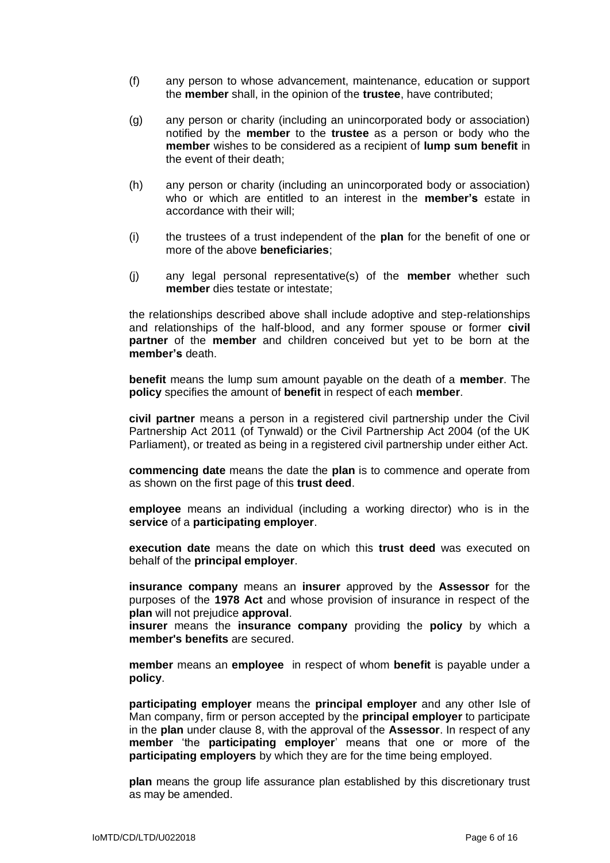- (f) any person to whose advancement, maintenance, education or support the **member** shall, in the opinion of the **trustee**, have contributed;
- (g) any person or charity (including an unincorporated body or association) notified by the **member** to the **trustee** as a person or body who the **member** wishes to be considered as a recipient of **lump sum benefit** in the event of their death;
- (h) any person or charity (including an unincorporated body or association) who or which are entitled to an interest in the **member's** estate in accordance with their will:
- (i) the trustees of a trust independent of the **plan** for the benefit of one or more of the above **beneficiaries**;
- (j) any legal personal representative(s) of the **member** whether such **member** dies testate or intestate;

the relationships described above shall include adoptive and step-relationships and relationships of the half-blood, and any former spouse or former **civil partner** of the **member** and children conceived but yet to be born at the **member's** death.

**benefit** means the lump sum amount payable on the death of a **member**. The **policy** specifies the amount of **benefit** in respect of each **member**.

**civil partner** means a person in a registered civil partnership under the Civil Partnership Act 2011 (of Tynwald) or the Civil Partnership Act 2004 (of the UK Parliament), or treated as being in a registered civil partnership under either Act.

**commencing date** means the date the **plan** is to commence and operate from as shown on the first page of this **trust deed**.

**employee** means an individual (including a working director) who is in the **service** of a **participating employer**.

**execution date** means the date on which this **trust deed** was executed on behalf of the **principal employer**.

**insurance company** means an **insurer** approved by the **Assessor** for the purposes of the **1978 Act** and whose provision of insurance in respect of the **plan** will not prejudice **approval**.

**insurer** means the **insurance company** providing the **policy** by which a **member's benefits** are secured.

**member** means an **employee** in respect of whom **benefit** is payable under a **policy**.

**participating employer** means the **principal employer** and any other Isle of Man company, firm or person accepted by the **principal employer** to participate in the **plan** under clause 8, with the approval of the **Assessor**. In respect of any **member** 'the **participating employer**' means that one or more of the **participating employers** by which they are for the time being employed.

**plan** means the group life assurance plan established by this discretionary trust as may be amended.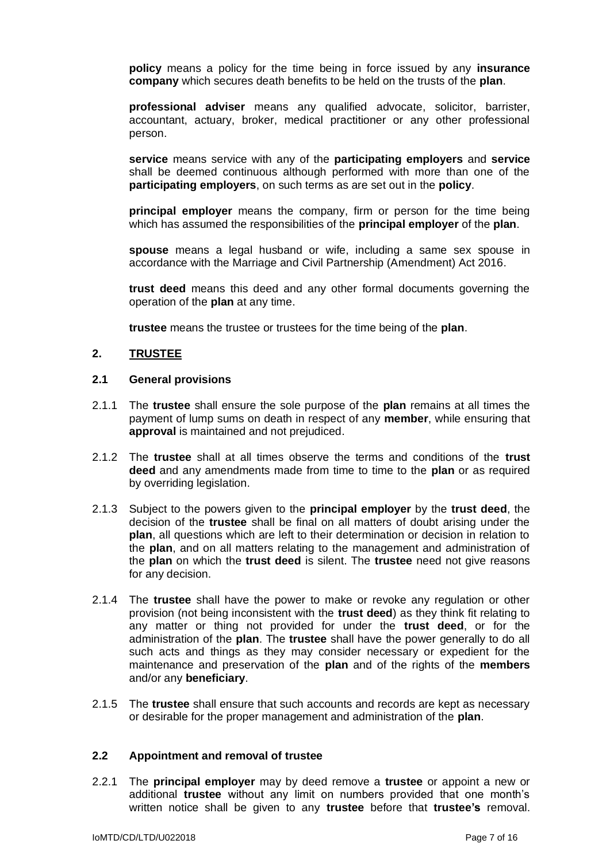**policy** means a policy for the time being in force issued by any **insurance company** which secures death benefits to be held on the trusts of the **plan**.

**professional adviser** means any qualified advocate, solicitor, barrister, accountant, actuary, broker, medical practitioner or any other professional person.

**service** means service with any of the **participating employers** and **service** shall be deemed continuous although performed with more than one of the **participating employers**, on such terms as are set out in the **policy**.

**principal employer** means the company, firm or person for the time being which has assumed the responsibilities of the **principal employer** of the **plan**.

**spouse** means a legal husband or wife, including a same sex spouse in accordance with the Marriage and Civil Partnership (Amendment) Act 2016.

**trust deed** means this deed and any other formal documents governing the operation of the **plan** at any time.

**trustee** means the trustee or trustees for the time being of the **plan**.

## **2. TRUSTEE**

#### **2.1 General provisions**

- 2.1.1 The **trustee** shall ensure the sole purpose of the **plan** remains at all times the payment of lump sums on death in respect of any **member**, while ensuring that **approval** is maintained and not prejudiced.
- 2.1.2 The **trustee** shall at all times observe the terms and conditions of the **trust deed** and any amendments made from time to time to the **plan** or as required by overriding legislation.
- 2.1.3 Subject to the powers given to the **principal employer** by the **trust deed**, the decision of the **trustee** shall be final on all matters of doubt arising under the **plan**, all questions which are left to their determination or decision in relation to the **plan**, and on all matters relating to the management and administration of the **plan** on which the **trust deed** is silent. The **trustee** need not give reasons for any decision.
- 2.1.4 The **trustee** shall have the power to make or revoke any regulation or other provision (not being inconsistent with the **trust deed**) as they think fit relating to any matter or thing not provided for under the **trust deed**, or for the administration of the **plan**. The **trustee** shall have the power generally to do all such acts and things as they may consider necessary or expedient for the maintenance and preservation of the **plan** and of the rights of the **members** and/or any **beneficiary**.
- 2.1.5 The **trustee** shall ensure that such accounts and records are kept as necessary or desirable for the proper management and administration of the **plan**.

### **2.2 Appointment and removal of trustee**

2.2.1 The **principal employer** may by deed remove a **trustee** or appoint a new or additional **trustee** without any limit on numbers provided that one month's written notice shall be given to any **trustee** before that **trustee's** removal.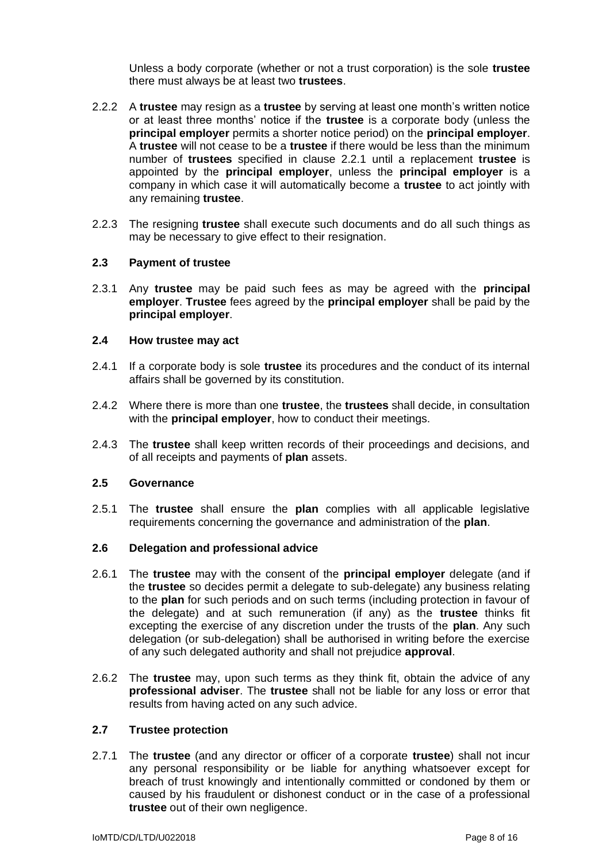Unless a body corporate (whether or not a trust corporation) is the sole **trustee** there must always be at least two **trustees**.

- 2.2.2 A **trustee** may resign as a **trustee** by serving at least one month's written notice or at least three months' notice if the **trustee** is a corporate body (unless the **principal employer** permits a shorter notice period) on the **principal employer**. A **trustee** will not cease to be a **trustee** if there would be less than the minimum number of **trustees** specified in clause 2.2.1 until a replacement **trustee** is appointed by the **principal employer**, unless the **principal employer** is a company in which case it will automatically become a **trustee** to act jointly with any remaining **trustee**.
- 2.2.3 The resigning **trustee** shall execute such documents and do all such things as may be necessary to give effect to their resignation.

### **2.3 Payment of trustee**

2.3.1 Any **trustee** may be paid such fees as may be agreed with the **principal employer**. **Trustee** fees agreed by the **principal employer** shall be paid by the **principal employer**.

#### **2.4 How trustee may act**

- 2.4.1 If a corporate body is sole **trustee** its procedures and the conduct of its internal affairs shall be governed by its constitution.
- 2.4.2 Where there is more than one **trustee**, the **trustees** shall decide, in consultation with the **principal employer**, how to conduct their meetings.
- 2.4.3 The **trustee** shall keep written records of their proceedings and decisions, and of all receipts and payments of **plan** assets.

### **2.5 Governance**

2.5.1 The **trustee** shall ensure the **plan** complies with all applicable legislative requirements concerning the governance and administration of the **plan**.

## **2.6 Delegation and professional advice**

- 2.6.1 The **trustee** may with the consent of the **principal employer** delegate (and if the **trustee** so decides permit a delegate to sub-delegate) any business relating to the **plan** for such periods and on such terms (including protection in favour of the delegate) and at such remuneration (if any) as the **trustee** thinks fit excepting the exercise of any discretion under the trusts of the **plan**. Any such delegation (or sub-delegation) shall be authorised in writing before the exercise of any such delegated authority and shall not prejudice **approval**.
- 2.6.2 The **trustee** may, upon such terms as they think fit, obtain the advice of any **professional adviser**. The **trustee** shall not be liable for any loss or error that results from having acted on any such advice.

### **2.7 Trustee protection**

2.7.1 The **trustee** (and any director or officer of a corporate **trustee**) shall not incur any personal responsibility or be liable for anything whatsoever except for breach of trust knowingly and intentionally committed or condoned by them or caused by his fraudulent or dishonest conduct or in the case of a professional **trustee** out of their own negligence.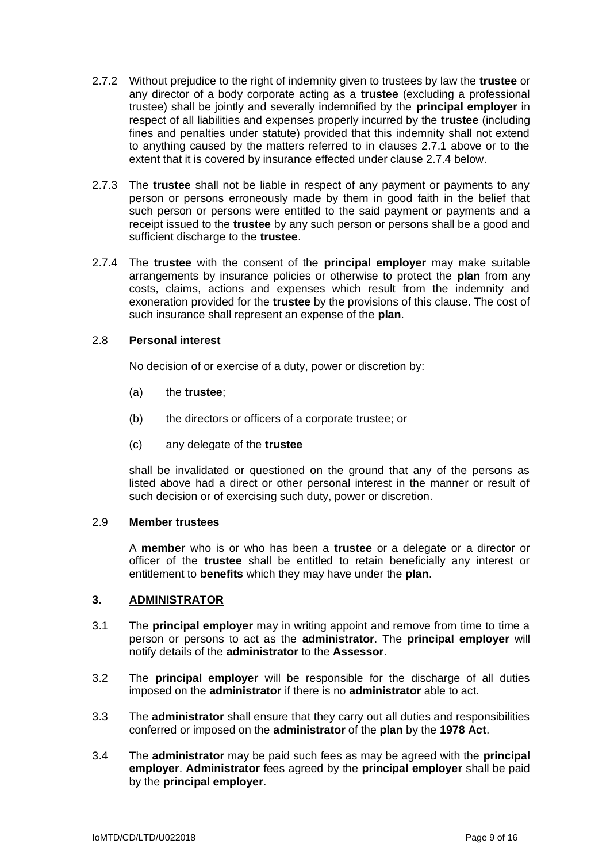- 2.7.2 Without prejudice to the right of indemnity given to trustees by law the **trustee** or any director of a body corporate acting as a **trustee** (excluding a professional trustee) shall be jointly and severally indemnified by the **principal employer** in respect of all liabilities and expenses properly incurred by the **trustee** (including fines and penalties under statute) provided that this indemnity shall not extend to anything caused by the matters referred to in clauses 2.7.1 above or to the extent that it is covered by insurance effected under clause 2.7.4 below.
- 2.7.3 The **trustee** shall not be liable in respect of any payment or payments to any person or persons erroneously made by them in good faith in the belief that such person or persons were entitled to the said payment or payments and a receipt issued to the **trustee** by any such person or persons shall be a good and sufficient discharge to the **trustee**.
- 2.7.4 The **trustee** with the consent of the **principal employer** may make suitable arrangements by insurance policies or otherwise to protect the **plan** from any costs, claims, actions and expenses which result from the indemnity and exoneration provided for the **trustee** by the provisions of this clause. The cost of such insurance shall represent an expense of the **plan**.

### 2.8 **Personal interest**

No decision of or exercise of a duty, power or discretion by:

- (a) the **trustee**;
- (b) the directors or officers of a corporate trustee; or
- (c) any delegate of the **trustee**

shall be invalidated or questioned on the ground that any of the persons as listed above had a direct or other personal interest in the manner or result of such decision or of exercising such duty, power or discretion.

## 2.9 **Member trustees**

A **member** who is or who has been a **trustee** or a delegate or a director or officer of the **trustee** shall be entitled to retain beneficially any interest or entitlement to **benefits** which they may have under the **plan**.

# **3. ADMINISTRATOR**

- 3.1 The **principal employer** may in writing appoint and remove from time to time a person or persons to act as the **administrator**. The **principal employer** will notify details of the **administrator** to the **Assessor**.
- 3.2 The **principal employer** will be responsible for the discharge of all duties imposed on the **administrator** if there is no **administrator** able to act.
- 3.3 The **administrator** shall ensure that they carry out all duties and responsibilities conferred or imposed on the **administrator** of the **plan** by the **1978 Act**.
- 3.4 The **administrator** may be paid such fees as may be agreed with the **principal employer**. **Administrator** fees agreed by the **principal employer** shall be paid by the **principal employer**.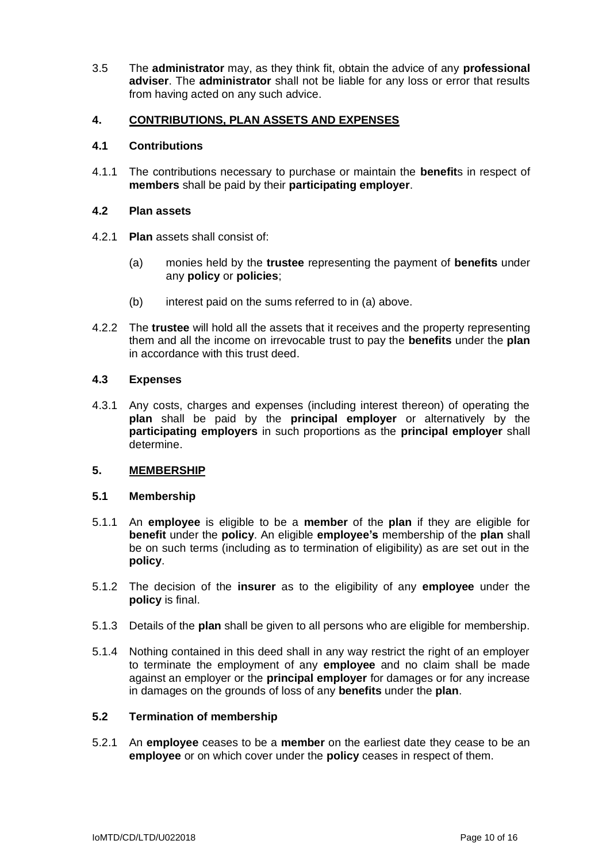3.5 The **administrator** may, as they think fit, obtain the advice of any **professional adviser**. The **administrator** shall not be liable for any loss or error that results from having acted on any such advice.

# **4. CONTRIBUTIONS, PLAN ASSETS AND EXPENSES**

## **4.1 Contributions**

4.1.1 The contributions necessary to purchase or maintain the **benefit**s in respect of **members** shall be paid by their **participating employer**.

## **4.2 Plan assets**

- 4.2.1 **Plan** assets shall consist of:
	- (a) monies held by the **trustee** representing the payment of **benefits** under any **policy** or **policies**;
	- (b) interest paid on the sums referred to in (a) above.
- 4.2.2 The **trustee** will hold all the assets that it receives and the property representing them and all the income on irrevocable trust to pay the **benefits** under the **plan** in accordance with this trust deed.

## **4.3 Expenses**

4.3.1 Any costs, charges and expenses (including interest thereon) of operating the **plan** shall be paid by the **principal employer** or alternatively by the **participating employers** in such proportions as the **principal employer** shall determine.

# **5. MEMBERSHIP**

### **5.1 Membership**

- 5.1.1 An **employee** is eligible to be a **member** of the **plan** if they are eligible for **benefit** under the **policy**. An eligible **employee's** membership of the **plan** shall be on such terms (including as to termination of eligibility) as are set out in the **policy**.
- 5.1.2 The decision of the **insurer** as to the eligibility of any **employee** under the **policy** is final.
- 5.1.3 Details of the **plan** shall be given to all persons who are eligible for membership.
- 5.1.4 Nothing contained in this deed shall in any way restrict the right of an employer to terminate the employment of any **employee** and no claim shall be made against an employer or the **principal employer** for damages or for any increase in damages on the grounds of loss of any **benefits** under the **plan**.

# **5.2 Termination of membership**

5.2.1 An **employee** ceases to be a **member** on the earliest date they cease to be an **employee** or on which cover under the **policy** ceases in respect of them.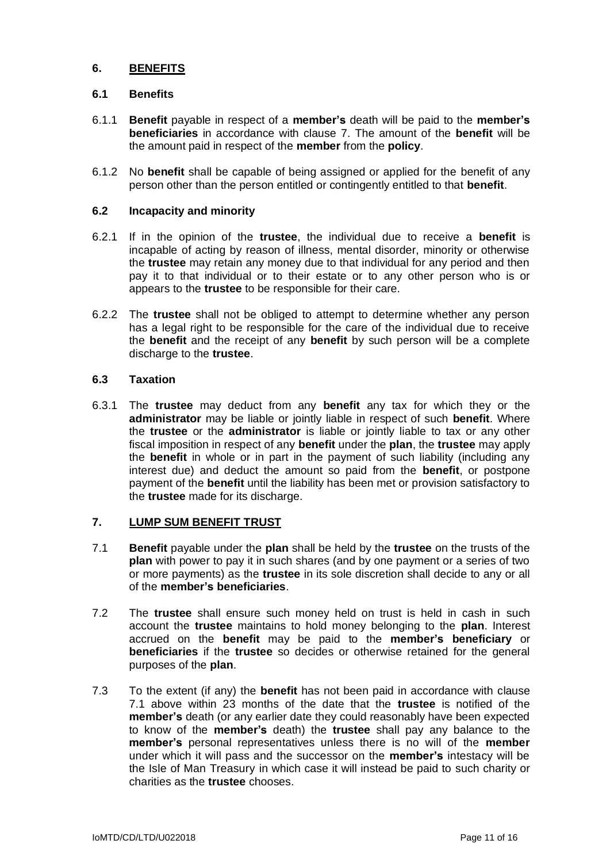# **6. BENEFITS**

## **6.1 Benefits**

- 6.1.1 **Benefit** payable in respect of a **member's** death will be paid to the **member's beneficiaries** in accordance with clause 7. The amount of the **benefit** will be the amount paid in respect of the **member** from the **policy**.
- 6.1.2 No **benefit** shall be capable of being assigned or applied for the benefit of any person other than the person entitled or contingently entitled to that **benefit**.

## **6.2 Incapacity and minority**

- 6.2.1 If in the opinion of the **trustee**, the individual due to receive a **benefit** is incapable of acting by reason of illness, mental disorder, minority or otherwise the **trustee** may retain any money due to that individual for any period and then pay it to that individual or to their estate or to any other person who is or appears to the **trustee** to be responsible for their care.
- 6.2.2 The **trustee** shall not be obliged to attempt to determine whether any person has a legal right to be responsible for the care of the individual due to receive the **benefit** and the receipt of any **benefit** by such person will be a complete discharge to the **trustee**.

## **6.3 Taxation**

6.3.1 The **trustee** may deduct from any **benefit** any tax for which they or the **administrator** may be liable or jointly liable in respect of such **benefit**. Where the **trustee** or the **administrator** is liable or jointly liable to tax or any other fiscal imposition in respect of any **benefit** under the **plan**, the **trustee** may apply the **benefit** in whole or in part in the payment of such liability (including any interest due) and deduct the amount so paid from the **benefit**, or postpone payment of the **benefit** until the liability has been met or provision satisfactory to the **trustee** made for its discharge.

# **7. LUMP SUM BENEFIT TRUST**

- 7.1 **Benefit** payable under the **plan** shall be held by the **trustee** on the trusts of the **plan** with power to pay it in such shares (and by one payment or a series of two or more payments) as the **trustee** in its sole discretion shall decide to any or all of the **member's beneficiaries**.
- 7.2 The **trustee** shall ensure such money held on trust is held in cash in such account the **trustee** maintains to hold money belonging to the **plan**. Interest accrued on the **benefit** may be paid to the **member's beneficiary** or **beneficiaries** if the **trustee** so decides or otherwise retained for the general purposes of the **plan**.
- 7.3 To the extent (if any) the **benefit** has not been paid in accordance with clause 7.1 above within 23 months of the date that the **trustee** is notified of the **member's** death (or any earlier date they could reasonably have been expected to know of the **member's** death) the **trustee** shall pay any balance to the **member's** personal representatives unless there is no will of the **member** under which it will pass and the successor on the **member's** intestacy will be the Isle of Man Treasury in which case it will instead be paid to such charity or charities as the **trustee** chooses.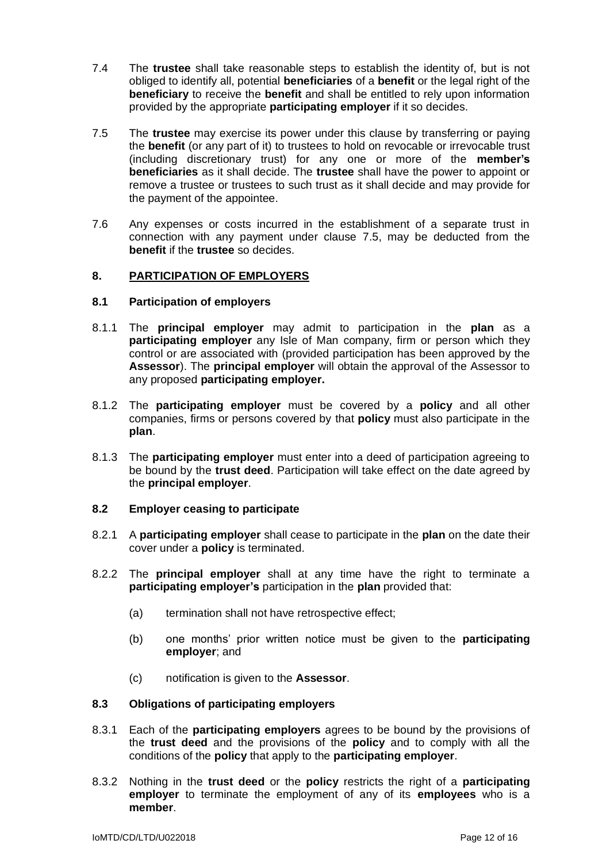- 7.4 The **trustee** shall take reasonable steps to establish the identity of, but is not obliged to identify all, potential **beneficiaries** of a **benefit** or the legal right of the **beneficiary** to receive the **benefit** and shall be entitled to rely upon information provided by the appropriate **participating employer** if it so decides.
- 7.5 The **trustee** may exercise its power under this clause by transferring or paying the **benefit** (or any part of it) to trustees to hold on revocable or irrevocable trust (including discretionary trust) for any one or more of the **member's beneficiaries** as it shall decide. The **trustee** shall have the power to appoint or remove a trustee or trustees to such trust as it shall decide and may provide for the payment of the appointee.
- 7.6 Any expenses or costs incurred in the establishment of a separate trust in connection with any payment under clause 7.5, may be deducted from the **benefit** if the **trustee** so decides.

## **8. PARTICIPATION OF EMPLOYERS**

### **8.1 Participation of employers**

- 8.1.1 The **principal employer** may admit to participation in the **plan** as a **participating employer** any Isle of Man company, firm or person which they control or are associated with (provided participation has been approved by the **Assessor**). The **principal employer** will obtain the approval of the Assessor to any proposed **participating employer.**
- 8.1.2 The **participating employer** must be covered by a **policy** and all other companies, firms or persons covered by that **policy** must also participate in the **plan**.
- 8.1.3 The **participating employer** must enter into a deed of participation agreeing to be bound by the **trust deed**. Participation will take effect on the date agreed by the **principal employer**.

### **8.2 Employer ceasing to participate**

- 8.2.1 A **participating employer** shall cease to participate in the **plan** on the date their cover under a **policy** is terminated.
- 8.2.2 The **principal employer** shall at any time have the right to terminate a **participating employer's** participation in the **plan** provided that:
	- (a) termination shall not have retrospective effect;
	- (b) one months' prior written notice must be given to the **participating employer**; and
	- (c) notification is given to the **Assessor**.

### **8.3 Obligations of participating employers**

- 8.3.1 Each of the **participating employers** agrees to be bound by the provisions of the **trust deed** and the provisions of the **policy** and to comply with all the conditions of the **policy** that apply to the **participating employer**.
- 8.3.2 Nothing in the **trust deed** or the **policy** restricts the right of a **participating employer** to terminate the employment of any of its **employees** who is a **member**.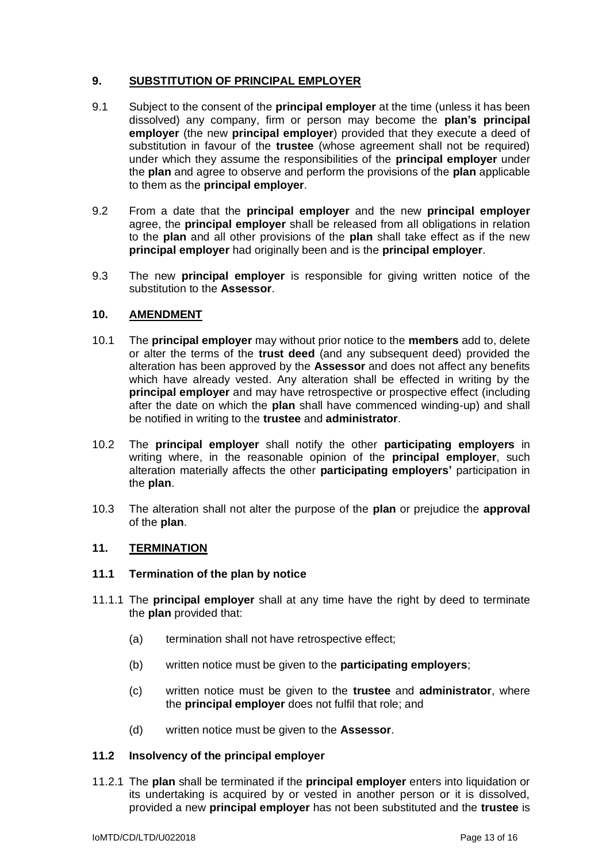# **9. SUBSTITUTION OF PRINCIPAL EMPLOYER**

- 9.1 Subject to the consent of the **principal employer** at the time (unless it has been dissolved) any company, firm or person may become the **plan's principal employer** (the new **principal employer**) provided that they execute a deed of substitution in favour of the **trustee** (whose agreement shall not be required) under which they assume the responsibilities of the **principal employer** under the **plan** and agree to observe and perform the provisions of the **plan** applicable to them as the **principal employer**.
- 9.2 From a date that the **principal employer** and the new **principal employer** agree, the **principal employer** shall be released from all obligations in relation to the **plan** and all other provisions of the **plan** shall take effect as if the new **principal employer** had originally been and is the **principal employer**.
- 9.3 The new **principal employer** is responsible for giving written notice of the substitution to the **Assessor**.

# **10. AMENDMENT**

- 10.1 The **principal employer** may without prior notice to the **members** add to, delete or alter the terms of the **trust deed** (and any subsequent deed) provided the alteration has been approved by the **Assessor** and does not affect any benefits which have already vested. Any alteration shall be effected in writing by the **principal employer** and may have retrospective or prospective effect (including after the date on which the **plan** shall have commenced winding-up) and shall be notified in writing to the **trustee** and **administrator**.
- 10.2 The **principal employer** shall notify the other **participating employers** in writing where, in the reasonable opinion of the **principal employer**, such alteration materially affects the other **participating employers'** participation in the **plan**.
- 10.3 The alteration shall not alter the purpose of the **plan** or prejudice the **approval** of the **plan**.

# **11. TERMINATION**

# **11.1 Termination of the plan by notice**

- 11.1.1 The **principal employer** shall at any time have the right by deed to terminate the **plan** provided that:
	- (a) termination shall not have retrospective effect;
	- (b) written notice must be given to the **participating employers**;
	- (c) written notice must be given to the **trustee** and **administrator**, where the **principal employer** does not fulfil that role; and
	- (d) written notice must be given to the **Assessor**.

### **11.2 Insolvency of the principal employer**

11.2.1 The **plan** shall be terminated if the **principal employer** enters into liquidation or its undertaking is acquired by or vested in another person or it is dissolved, provided a new **principal employer** has not been substituted and the **trustee** is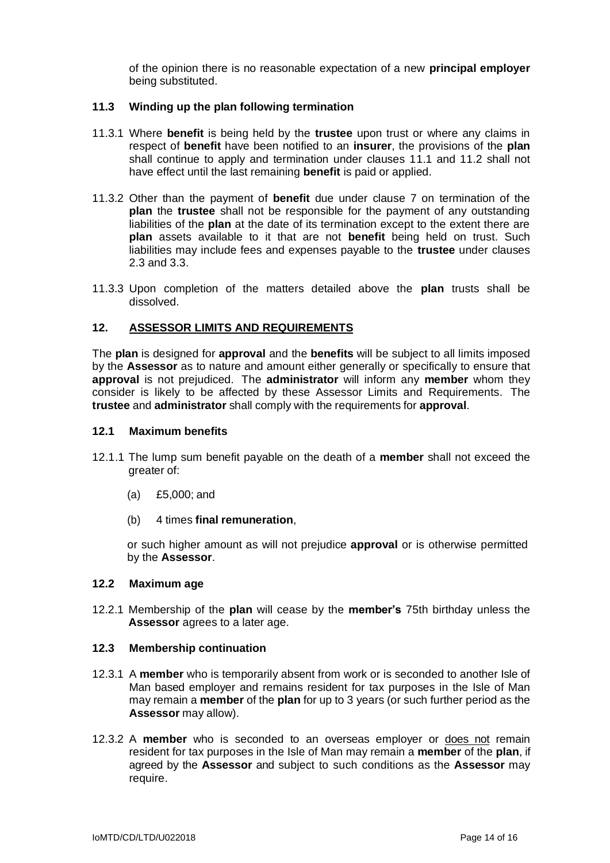of the opinion there is no reasonable expectation of a new **principal employer** being substituted.

### **11.3 Winding up the plan following termination**

- 11.3.1 Where **benefit** is being held by the **trustee** upon trust or where any claims in respect of **benefit** have been notified to an **insurer**, the provisions of the **plan** shall continue to apply and termination under clauses 11.1 and 11.2 shall not have effect until the last remaining **benefit** is paid or applied.
- 11.3.2 Other than the payment of **benefit** due under clause 7 on termination of the **plan** the **trustee** shall not be responsible for the payment of any outstanding liabilities of the **plan** at the date of its termination except to the extent there are **plan** assets available to it that are not **benefit** being held on trust. Such liabilities may include fees and expenses payable to the **trustee** under clauses 2.3 and 3.3.
- 11.3.3 Upon completion of the matters detailed above the **plan** trusts shall be dissolved.

## **12. ASSESSOR LIMITS AND REQUIREMENTS**

The **plan** is designed for **approval** and the **benefits** will be subject to all limits imposed by the **Assessor** as to nature and amount either generally or specifically to ensure that **approval** is not prejudiced. The **administrator** will inform any **member** whom they consider is likely to be affected by these Assessor Limits and Requirements. The **trustee** and **administrator** shall comply with the requirements for **approval**.

### **12.1 Maximum benefits**

- 12.1.1 The lump sum benefit payable on the death of a **member** shall not exceed the greater of:
	- (a) £5,000; and
	- (b) 4 times **final remuneration**,

or such higher amount as will not prejudice **approval** or is otherwise permitted by the **Assessor**.

# **12.2 Maximum age**

12.2.1 Membership of the **plan** will cease by the **member's** 75th birthday unless the **Assessor** agrees to a later age.

### **12.3 Membership continuation**

- 12.3.1 A **member** who is temporarily absent from work or is seconded to another Isle of Man based employer and remains resident for tax purposes in the Isle of Man may remain a **member** of the **plan** for up to 3 years (or such further period as the **Assessor** may allow).
- 12.3.2 A **member** who is seconded to an overseas employer or does not remain resident for tax purposes in the Isle of Man may remain a **member** of the **plan**, if agreed by the **Assessor** and subject to such conditions as the **Assessor** may require.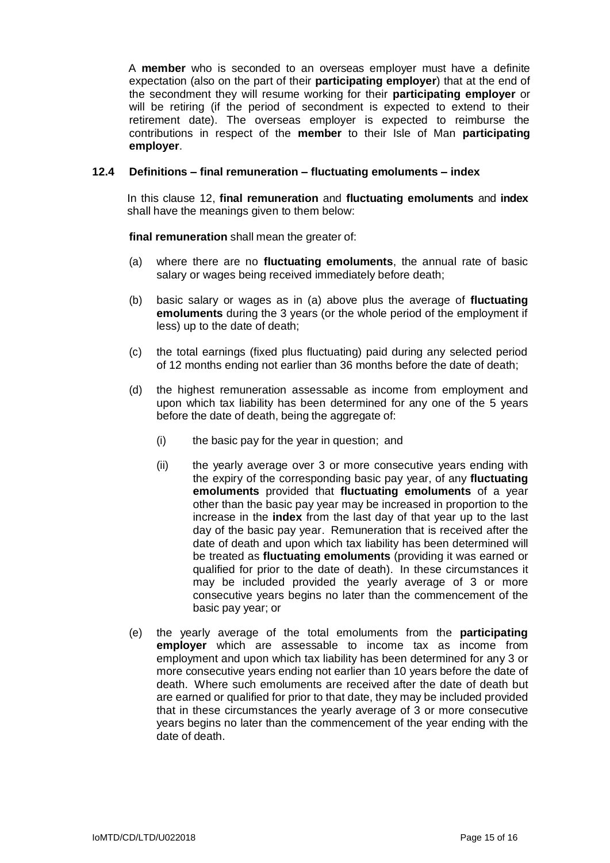A **member** who is seconded to an overseas employer must have a definite expectation (also on the part of their **participating employer**) that at the end of the secondment they will resume working for their **participating employer** or will be retiring (if the period of secondment is expected to extend to their retirement date). The overseas employer is expected to reimburse the contributions in respect of the **member** to their Isle of Man **participating employer**.

### **12.4 Definitions – final remuneration – fluctuating emoluments – index**

In this clause 12, **final remuneration** and **fluctuating emoluments** and **index** shall have the meanings given to them below:

**final remuneration** shall mean the greater of:

- (a) where there are no **fluctuating emoluments**, the annual rate of basic salary or wages being received immediately before death;
- (b) basic salary or wages as in (a) above plus the average of **fluctuating emoluments** during the 3 years (or the whole period of the employment if less) up to the date of death;
- (c) the total earnings (fixed plus fluctuating) paid during any selected period of 12 months ending not earlier than 36 months before the date of death;
- (d) the highest remuneration assessable as income from employment and upon which tax liability has been determined for any one of the 5 years before the date of death, being the aggregate of:
	- (i) the basic pay for the year in question; and
	- (ii) the yearly average over 3 or more consecutive years ending with the expiry of the corresponding basic pay year, of any **fluctuating emoluments** provided that **fluctuating emoluments** of a year other than the basic pay year may be increased in proportion to the increase in the **index** from the last day of that year up to the last day of the basic pay year. Remuneration that is received after the date of death and upon which tax liability has been determined will be treated as **fluctuating emoluments** (providing it was earned or qualified for prior to the date of death). In these circumstances it may be included provided the yearly average of 3 or more consecutive years begins no later than the commencement of the basic pay year; or
- (e) the yearly average of the total emoluments from the **participating employer** which are assessable to income tax as income from employment and upon which tax liability has been determined for any 3 or more consecutive years ending not earlier than 10 years before the date of death. Where such emoluments are received after the date of death but are earned or qualified for prior to that date, they may be included provided that in these circumstances the yearly average of 3 or more consecutive years begins no later than the commencement of the year ending with the date of death.